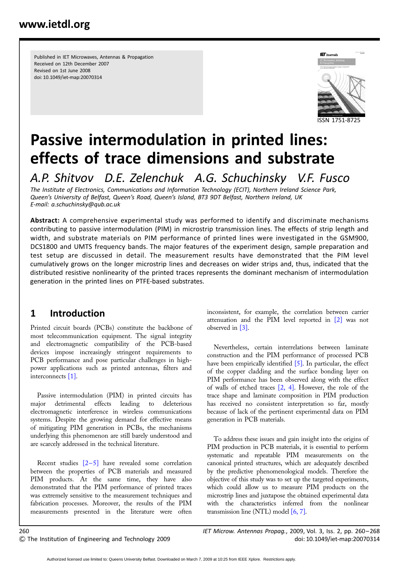Published in IET Microwaves, Antennas & Propagation Received on 12th December 2007 Revised on 1st June 2008 doi: 10.1049/iet-map:20070314



# Passive intermodulation in printed lines: effects of trace dimensions and substrate

A.P. Shitvov D.E. Zelenchuk A.G. Schuchinsky V.F. Fusco

The Institute of Electronics, Communications and Information Technology (ECIT), Northern Ireland Science Park, Queen's University of Belfast, Queen's Road, Queen's Island, BT3 9DT Belfast, Northern Ireland, UK E-mail: a.schuchinsky@qub.ac.uk

Abstract: A comprehensive experimental study was performed to identify and discriminate mechanisms contributing to passive intermodulation (PIM) in microstrip transmission lines. The effects of strip length and width, and substrate materials on PIM performance of printed lines were investigated in the GSM900, DCS1800 and UMTS frequency bands. The major features of the experiment design, sample preparation and test setup are discussed in detail. The measurement results have demonstrated that the PIM level cumulatively grows on the longer microstrip lines and decreases on wider strips and, thus, indicated that the distributed resistive nonlinearity of the printed traces represents the dominant mechanism of intermodulation generation in the printed lines on PTFE-based substrates.

# 1 Introduction

Printed circuit boards (PCBs) constitute the backbone of most telecommunication equipment. The signal integrity and electromagnetic compatibility of the PCB-based devices impose increasingly stringent requirements to PCB performance and pose particular challenges in highpower applications such as printed antennas, filters and interconnects [1].

Passive intermodulation (PIM) in printed circuits has major detrimental effects leading to deleterious electromagnetic interference in wireless communications systems. Despite the growing demand for effective means of mitigating PIM generation in PCBs, the mechanisms underlying this phenomenon are still barely understood and are scarcely addressed in the technical literature.

Recent studies  $[2-5]$  have revealed some correlation between the properties of PCB materials and measured PIM products. At the same time, they have also demonstrated that the PIM performance of printed traces was extremely sensitive to the measurement techniques and fabrication processes. Moreover, the results of the PIM measurements presented in the literature were often

inconsistent, for example, the correlation between carrier attenuation and the PIM level reported in [2] was not observed in [3].

Nevertheless, certain interrelations between laminate construction and the PIM performance of processed PCB have been empirically identified [5]. In particular, the effect of the copper cladding and the surface bonding layer on PIM performance has been observed along with the effect of walls of etched traces [2, 4]. However, the role of the trace shape and laminate composition in PIM production has received no consistent interpretation so far, mostly because of lack of the pertinent experimental data on PIM generation in PCB materials.

To address these issues and gain insight into the origins of PIM production in PCB materials, it is essential to perform systematic and repeatable PIM measurements on the canonical printed structures, which are adequately described by the predictive phenomenological models. Therefore the objective of this study was to set up the targeted experiments, which could allow us to measure PIM products on the microstrip lines and juxtapose the obtained experimental data with the characteristics inferred from the nonlinear transmission line (NTL) model [6, 7].

260 IET Microw. Antennas Propag., 2009, Vol. 3, Iss. 2, pp. 260– 268 & The Institution of Engineering and Technology 2009 doi: 10.1049/iet-map:20070314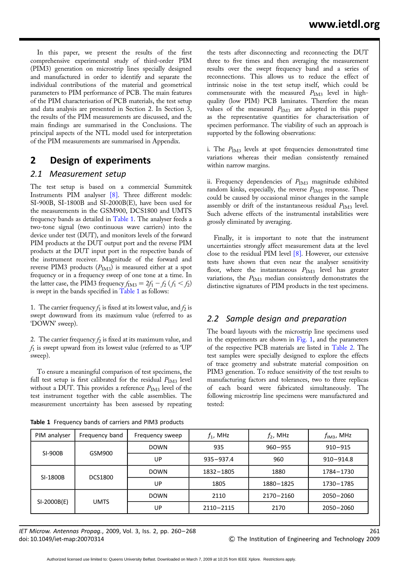In this paper, we present the results of the first comprehensive experimental study of third-order PIM (PIM3) generation on microstrip lines specially designed and manufactured in order to identify and separate the individual contributions of the material and geometrical parameters to PIM performance of PCB. The main features of the PIM characterisation of PCB materials, the test setup and data analysis are presented in Section 2. In Section 3, the results of the PIM measurements are discussed, and the main findings are summarised in the Conclusions. The principal aspects of the NTL model used for interpretation of the PIM measurements are summarised in Appendix.

## 2 Design of experiments

#### 2.1 Measurement setup

The test setup is based on a commercial Summitek Instruments PIM analyser [8]. Three different models: SI-900B, SI-1800B and SI-2000B(E), have been used for the measurements in the GSM900, DCS1800 and UMTS frequency bands as detailed in Table 1. The analyser feeds a two-tone signal (two continuous wave carriers) into the device under test (DUT), and monitors levels of the forward PIM products at the DUT output port and the reverse PIM products at the DUT input port in the respective bands of the instrument receiver. Magnitude of the forward and reverse PIM3 products  $(P_{IM3})$  is measured either at a spot frequency or in a frequency sweep of one tone at a time. In the latter case, the PIM3 frequency  $f_{\text{IM3}} = 2f_1 - f_2 (f_1 < f_2)$ is swept in the bands specified in Table 1 as follows:

1. The carrier frequency  $f_1$  is fixed at its lowest value, and  $f_2$  is swept downward from its maximum value (referred to as 'DOWN' sweep).

2. The carrier frequency  $f_2$  is fixed at its maximum value, and  $f_1$  is swept upward from its lowest value (referred to as 'UP' sweep).

To ensure a meaningful comparison of test specimens, the full test setup is first calibrated for the residual  $P_{\text{IM3}}$  level without a DUT. This provides a reference  $P_{IM3}$  level of the test instrument together with the cable assemblies. The measurement uncertainty has been assessed by repeating

Table 1 Frequency bands of carriers and PIM3 products

the tests after disconnecting and reconnecting the DUT three to five times and then averaging the measurement results over the swept frequency band and a series of reconnections. This allows us to reduce the effect of intrinsic noise in the test setup itself, which could be commensurate with the measured  $P_{IM3}$  level in highquality (low PIM) PCB laminates. Therefore the mean values of the measured  $P_{IM3}$  are adopted in this paper as the representative quantities for characterisation of specimen performance. The viability of such an approach is supported by the following observations:

i. The  $P_{IM3}$  levels at spot frequencies demonstrated time variations whereas their median consistently remained within narrow margins.

ii. Frequency dependencies of  $P_{IM3}$  magnitude exhibited random kinks, especially, the reverse  $P_{\text{IM3}}$  response. These could be caused by occasional minor changes in the sample assembly or drift of the instantaneous residual  $P_{\text{IM3}}$  level. Such adverse effects of the instrumental instabilities were grossly eliminated by averaging.

Finally, it is important to note that the instrument uncertainties strongly affect measurement data at the level close to the residual PIM level  $[8]$ . However, our extensive tests have shown that even near the analyser sensitivity floor, where the instantaneous  $P_{\text{IM3}}$  level has greater variations, the  $P_{\text{IM3}}$  median consistently demonstrates the distinctive signatures of PIM products in the test specimens.

#### 2.2 Sample design and preparation

The board layouts with the microstrip line specimens used in the experiments are shown in Fig. 1, and the parameters of the respective PCB materials are listed in Table 2. The test samples were specially designed to explore the effects of trace geometry and substrate material composition on PIM3 generation. To reduce sensitivity of the test results to manufacturing factors and tolerances, two to three replicas of each board were fabricated simultaneously. The following microstrip line specimens were manufactured and tested:

| PIM analyser | Frequency band | Frequency sweep | $f_1$ , MHz   | $f_2$ , MHz | $f_{\text{IM3}}$ , MHz |
|--------------|----------------|-----------------|---------------|-------------|------------------------|
| SI-900B      | GSM900         | <b>DOWN</b>     | 935           | $960 - 955$ | $910 - 915$            |
|              |                | UP              | $935 - 937.4$ | 960         | $910 - 914.8$          |
| SI-1800B     | <b>DCS1800</b> | <b>DOWN</b>     | 1832-1805     | 1880        | 1784-1730              |
|              |                | UP              | 1805          | 1880-1825   | 1730-1785              |
| SI-2000B(E)  | <b>UMTS</b>    | <b>DOWN</b>     | 2110          | 2170-2160   | $2050 - 2060$          |
|              |                | UP              | $2110 - 2115$ | 2170        | $2050 - 2060$          |

IET Microw. Antennas Propag., 2009, Vol. 3, Iss. 2, pp. 260– 268 261 doi: 10.1049/iet-map:20070314 & The Institution of Engineering and Technology 2009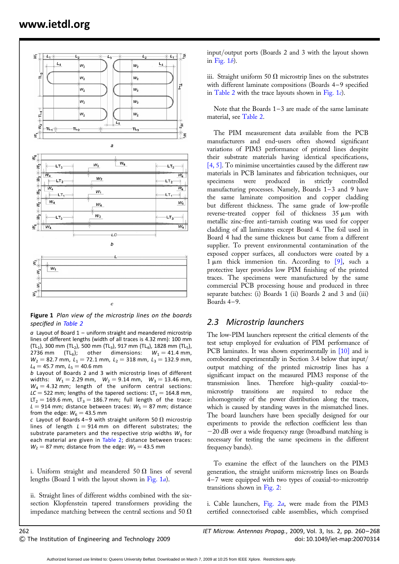

Figure 1 Plan view of the microstrip lines on the boards specified in Table 2

 $a$  Layout of Board 1 – uniform straight and meandered microstrip lines of different lengths (width of all traces is 4.32 mm): 100 mm  $(TL<sub>1</sub>)$ , 300 mm  $(TL<sub>2</sub>)$ , 500 mm  $(TL<sub>3</sub>)$ , 917 mm  $(TL<sub>4</sub>)$ , 1828 mm  $(TL<sub>5</sub>)$ , 2736 mm (TL<sub>6</sub>); other dimensions:  $W_1 = 41.4$  mm,  $W_2 = 82.7$  mm,  $L_1 = 72.1$  mm,  $L_2 = 318$  mm,  $L_3 = 132.9$  mm,  $L_4 = 45.7$  mm,  $L_5 = 40.6$  mm

b Layout of Boards 2 and 3 with microstrip lines of different widths:  $W_1 = 2.29$  mm,  $W_2 = 9.14$  mm,  $W_3 = 13.46$  mm,  $W_4 = 4.32$  mm; length of the uniform central sections:  $LC = 522$  mm; lengths of the tapered sections:  $LT_1 = 164.8$  mm,  $LT<sub>2</sub> = 169.6$  mm,  $LT<sub>3</sub> = 186.7$  mm; full length of the trace:  $L = 914$  mm; distance between traces:  $W_5 = 87$  mm; distance from the edge:  $W_6 = 43.5$  mm

c Layout of Boards 4–9 with straight uniform 50  $\Omega$  microstrip lines of length  $L = 914$  mm on different substrates; the substrate parameters and the respective strip widths  $W_1$  for each material are given in Table 2; distance between traces:  $W_2 = 87$  mm; distance from the edge:  $W_3 = 43.5$  mm

i. Uniform straight and meandered 50  $\Omega$  lines of several lengths (Board 1 with the layout shown in Fig. 1a).

ii. Straight lines of different widths combined with the sixsection Klopfenstein tapered transformers providing the impedance matching between the central sections and 50  $\Omega$  input/output ports (Boards 2 and 3 with the layout shown in Fig.  $1b$ ).

iii. Straight uniform 50  $\Omega$  microstrip lines on the substrates with different laminate compositions (Boards 4-9 specified in Table 2 with the trace layouts shown in Fig. 1 $c$ ).

Note that the Boards  $1-3$  are made of the same laminate material, see Table 2.

The PIM measurement data available from the PCB manufacturers and end-users often showed significant variations of PIM3 performance of printed lines despite their substrate materials having identical specifications, [4, 5]. To minimise uncertainties caused by the different raw materials in PCB laminates and fabrication techniques, our specimens were produced in strictly controlled manufacturing processes. Namely, Boards 1-3 and 9 have the same laminate composition and copper cladding but different thickness. The same grade of low-profile reverse-treated copper foil of thickness  $35 \mu m$  with metallic zinc-free anti-tarnish coating was used for copper cladding of all laminates except Board 4. The foil used in Board 4 had the same thickness but came from a different supplier. To prevent environmental contamination of the exposed copper surfaces, all conductors were coated by a  $1 \mu m$  thick immersion tin. According to [9], such a protective layer provides low PIM finishing of the printed traces. The specimens were manufactured by the same commercial PCB processing house and produced in three separate batches: (i) Boards 1 (ii) Boards 2 and 3 and (iii) Boards  $4-9$ .

#### 2.3 Microstrip launchers

The low-PIM launchers represent the critical elements of the test setup employed for evaluation of PIM performance of PCB laminates. It was shown experimentally in [10] and is corroborated experimentally in Section 3.4 below that input/ output matching of the printed microstrip lines has a significant impact on the measured PIM3 response of the transmission lines. Therefore high-quality coaxial-tomicrostrip transitions are required to reduce the inhomogeneity of the power distribution along the traces, which is caused by standing waves in the mismatched lines. The board launchers have been specially designed for our experiments to provide the reflection coefficient less than  $-20$  dB over a wide frequency range (broadband matching is necessary for testing the same specimens in the different frequency bands).

To examine the effect of the launchers on the PIM3 generation, the straight uniform microstrip lines on Boards 4 – 7 were equipped with two types of coaxial-to-microstrip transitions shown in Fig. 2:

i. Cable launchers, Fig. 2a, were made from the PIM3 certified connectorised cable assemblies, which comprised

262 IET Microw. Antennas Propag., 2009, Vol. 3, Iss. 2, pp. 260– 268 & The Institution of Engineering and Technology 2009 doi: 10.1049/iet-map:20070314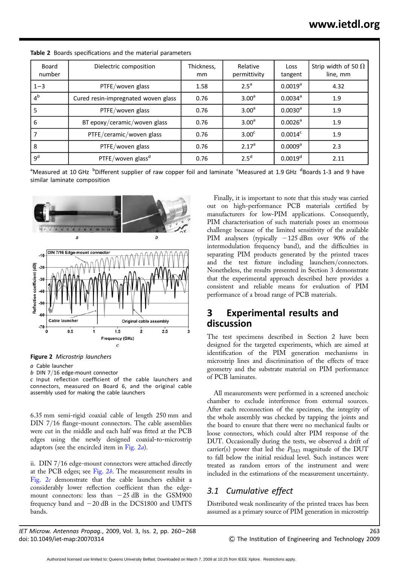| Board<br>number | Dielectric composition              | Thickness,<br>mm | Relative<br>permittivity | <b>Loss</b><br>tangent | Strip width of 50 $\Omega$<br>line, mm |
|-----------------|-------------------------------------|------------------|--------------------------|------------------------|----------------------------------------|
| $1 - 3$         | PTFE/woven glass                    | 1.58             | 2.5 <sup>a</sup>         | $0.0019^a$             | 4.32                                   |
| 4 <sup>b</sup>  | Cured resin-impregnated woven glass | 0.76             | 3.00 <sup>a</sup>        | $0.0034$ <sup>a</sup>  | 1.9                                    |
| 5               | PTFE/woven glass                    | 0.76             | 3.00 <sup>a</sup>        | $0.0030^a$             | 1.9                                    |
| 6               | BT epoxy/ceramic/woven glass        | 0.76             | 3.00 <sup>a</sup>        | $0.0026^a$             | 1.9                                    |
|                 | PTFE/ceramic/woven glass            | 0.76             | 3.00 <sup>c</sup>        | $0.0014^c$             | 1.9                                    |
| 8               | PTFE/woven glass                    | 0.76             | 2.17 <sup>a</sup>        | 0.0009 <sup>a</sup>    | 2.3                                    |
| 9 <sup>d</sup>  | PTFE/woven glass <sup>d</sup>       | 0.76             | 2.5 <sup>d</sup>         | $0.0019^d$             | 2.11                                   |

Table 2 Boards specifications and the material parameters

<sup>a</sup>Measured at 10 GHz <sup>b</sup>Different supplier of raw copper foil and laminate <sup>c</sup>Measured at 1.9 GHz <sup>d</sup>Boards 1-3 and 9 have similar laminate composition



Figure 2 Microstrip launchers

a Cable launcher

b DIN 7/16 edge-mount connector

c Input reflection coefficient of the cable launchers and connectors, measured on Board 6, and the original cable assembly used for making the cable launchers

6.35 mm semi-rigid coaxial cable of length 250 mm and DIN 7/16 flange-mount connectors. The cable assemblies were cut in the middle and each half was fitted at the PCB edges using the newly designed coaxial-to-microstrip adaptors (see the encircled item in Fig. 2a).

ii. DIN 7/16 edge-mount connectors were attached directly at the PCB edges; see Fig.  $2b$ . The measurement results in Fig. 2c demonstrate that the cable launchers exhibit a considerably lower reflection coefficient than the edgemount connectors: less than  $-25$  dB in the GSM900 frequency band and  $-20$  dB in the DCS1800 and UMTS bands.

IET Microw. Antennas Propag., 2009, Vol. 3, Iss. 2, pp. 260– 268 263 doi: 10.1049/iet-map:20070314 & The Institution of Engineering and Technology 2009

Finally, it is important to note that this study was carried out on high-performance PCB materials certified by manufacturers for low-PIM applications. Consequently, PIM characterisation of such materials poses an enormous challenge because of the limited sensitivity of the available PIM analysers (typically  $-125$  dBm over 90% of the intermodulation frequency band), and the difficulties in separating PIM products generated by the printed traces and the test fixture including launchers/connectors. Nonetheless, the results presented in Section 3 demonstrate that the experimental approach described here provides a consistent and reliable means for evaluation of PIM performance of a broad range of PCB materials.

## 3 Experimental results and discussion

The test specimens described in Section 2 have been designed for the targeted experiments, which are aimed at identification of the PIM generation mechanisms in microstrip lines and discrimination of the effects of trace geometry and the substrate material on PIM performance of PCB laminates.

All measurements were performed in a screened anechoic chamber to exclude interference from external sources. After each reconnection of the specimen, the integrity of the whole assembly was checked by tapping the joints and the board to ensure that there were no mechanical faults or loose connectors, which could alter PIM response of the DUT. Occasionally during the tests, we observed a drift of carrier(s) power that led the  $P_{IM3}$  magnitude of the DUT to fall below the initial residual level. Such instances were treated as random errors of the instrument and were included in the estimations of the measurement uncertainty.

## 3.1 Cumulative effect

Distributed weak nonlinearity of the printed traces has been assumed as a primary source of PIM generation in microstrip

Authorized licensed use limited to: Queens University Belfast. Downloaded on March 7, 2009 at 10:25 from IEEE Xplore. Restrictions apply.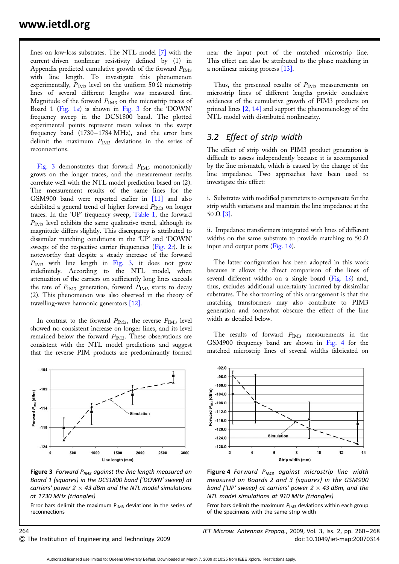lines on low-loss substrates. The NTL model [7] with the current-driven nonlinear resistivity defined by (1) in Appendix predicted cumulative growth of the forward  $P_{\text{IM3}}$ with line length. To investigate this phenomenon experimentally,  $P_{IM3}$  level on the uniform 50  $\Omega$  microstrip lines of several different lengths was measured first. Magnitude of the forward  $P_{IM3}$  on the microstrip traces of Board 1 (Fig. 1a) is shown in Fig. 3 for the 'DOWN' frequency sweep in the DCS1800 band. The plotted experimental points represent mean values in the swept frequency band (1730–1784 MHz), and the error bars delimit the maximum  $P_{\text{IM3}}$  deviations in the series of reconnections.

Fig. 3 demonstrates that forward  $P_{IM3}$  monotonically grows on the longer traces, and the measurement results correlate well with the NTL model prediction based on (2). The measurement results of the same lines for the GSM900 band were reported earlier in [11] and also exhibited a general trend of higher forward  $P_{IM3}$  on longer traces. In the 'UP' frequency sweep, Table 1, the forward  $P<sub>IM3</sub>$  level exhibits the same qualitative trend, although its magnitude differs slightly. This discrepancy is attributed to dissimilar matching conditions in the 'UP' and 'DOWN' sweeps of the respective carrier frequencies (Fig.  $2c$ ). It is noteworthy that despite a steady increase of the forward  $P_{\text{IM3}}$  with line length in Fig. 3, it does not grow indefinitely. According to the NTL model, when attenuation of the carriers on sufficiently long lines exceeds the rate of  $P_{IM3}$  generation, forward  $P_{IM3}$  starts to decay (2). This phenomenon was also observed in the theory of travelling-wave harmonic generators [12].

In contrast to the forward  $P_{IM3}$ , the reverse  $P_{IM3}$  level showed no consistent increase on longer lines, and its level remained below the forward  $P_{\text{IM3}}$ . These observations are consistent with the NTL model predictions and suggest that the reverse PIM products are predominantly formed



Figure 3 Forward  $P_{IM3}$  against the line length measured on Board 1 (squares) in the DCS1800 band ('DOWN' sweep) at carriers' power 2  $\times$  43 dBm and the NTL model simulations at 1730 MHz (triangles)

Error bars delimit the maximum  $P_{IM3}$  deviations in the series of reconnections

near the input port of the matched microstrip line. This effect can also be attributed to the phase matching in a nonlinear mixing process [13].

Thus, the presented results of  $P_{IM3}$  measurements on microstrip lines of different lengths provide conclusive evidences of the cumulative growth of PIM3 products on printed lines  $[2, 14]$  and support the phenomenology of the NTL model with distributed nonlinearity.

#### 3.2 Effect of strip width

The effect of strip width on PIM3 product generation is difficult to assess independently because it is accompanied by the line mismatch, which is caused by the change of the line impedance. Two approaches have been used to investigate this effect:

i. Substrates with modified parameters to compensate for the strip width variations and maintain the line impedance at the 50  $\Omega$  [3].

ii. Impedance transformers integrated with lines of different widths on the same substrate to provide matching to 50  $\Omega$ input and output ports (Fig.  $1b$ ).

The latter configuration has been adopted in this work because it allows the direct comparison of the lines of several different widths on a single board (Fig.  $1b$ ) and, thus, excludes additional uncertainty incurred by dissimilar substrates. The shortcoming of this arrangement is that the matching transformers may also contribute to PIM3 generation and somewhat obscure the effect of the line width as detailed below.

The results of forward  $P_{IM3}$  measurements in the GSM900 frequency band are shown in Fig. 4 for the matched microstrip lines of several widths fabricated on



Figure 4 Forward  $P_{IM3}$  against microstrip line width measured on Boards 2 and 3 (squares) in the GSM900 band ('UP' sweep) at carriers' power  $2 \times 43$  dBm, and the NTL model simulations at 910 MHz (triangles)

Error bars delimit the maximum  $P_{IM3}$  deviations within each group of the specimens with the same strip width

264 IET Microw. Antennas Propag., 2009, Vol. 3, Iss. 2, pp. 260– 268  $\degree$  The Institution of Engineering and Technology 2009 doi: 10.1049/iet-map:20070314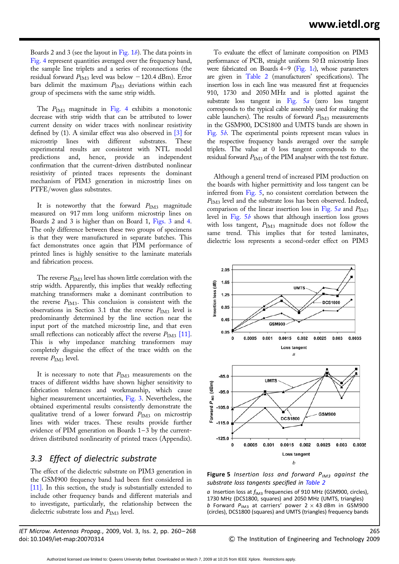Boards 2 and 3 (see the layout in Fig.  $1b$ ). The data points in Fig. 4 represent quantities averaged over the frequency band, the sample line triplets and a series of reconnections (the residual forward  $P_{IM3}$  level was below -120.4 dBm). Error bars delimit the maximum  $P_{IM3}$  deviations within each group of specimens with the same strip width.

The  $P_{\text{IM3}}$  magnitude in Fig. 4 exhibits a monotonic decrease with strip width that can be attributed to lower current density on wider traces with nonlinear resistivity defined by (1). A similar effect was also observed in [3] for microstrip lines with different substrates. These experimental results are consistent with NTL model predictions and, hence, provide an independent confirmation that the current-driven distributed nonlinear resistivity of printed traces represents the dominant mechanism of PIM3 generation in microstrip lines on PTFE/woven glass substrates.

It is noteworthy that the forward  $P_{\text{IM3}}$  magnitude measured on 917 mm long uniform microstrip lines on Boards 2 and 3 is higher than on Board 1, Figs. 3 and 4. The only difference between these two groups of specimens is that they were manufactured in separate batches. This fact demonstrates once again that PIM performance of printed lines is highly sensitive to the laminate materials and fabrication process.

The reverse  $P_{\text{IM3}}$  level has shown little correlation with the strip width. Apparently, this implies that weakly reflecting matching transformers make a dominant contribution to the reverse  $P_{IM3}$ . This conclusion is consistent with the observations in Section 3.1 that the reverse  $P_{\text{IM3}}$  level is predominantly determined by the line section near the input port of the matched microstrip line, and that even small reflections can noticeably affect the reverse  $P_{\text{IM3}}$  [11]. This is why impedance matching transformers may completely disguise the effect of the trace width on the reverse  $P_{\text{IM3}}$  level.

It is necessary to note that  $P_{IM3}$  measurements on the traces of different widths have shown higher sensitivity to fabrication tolerances and workmanship, which cause higher measurement uncertainties, Fig. 3. Nevertheless, the obtained experimental results consistently demonstrate the qualitative trend of a lower forward  $P_{IM3}$  on microstrip lines with wider traces. These results provide further evidence of PIM generation on Boards  $1-3$  by the currentdriven distributed nonlinearity of printed traces (Appendix).

#### 3.3 Effect of dielectric substrate

The effect of the dielectric substrate on PIM3 generation in the GSM900 frequency band had been first considered in [11]. In this section, the study is substantially extended to include other frequency bands and different materials and to investigate, particularly, the relationship between the dielectric substrate loss and  $P_{\text{IM3}}$  level.

IET Microw. Antennas Propag., 2009, Vol. 3, Iss. 2, pp. 260–268 265 doi: 10.1049/iet-map:20070314 & The Institution of Engineering and Technology 2009

To evaluate the effect of laminate composition on PIM3 performance of PCB, straight uniform 50  $\Omega$  microstrip lines were fabricated on Boards  $4-9$  (Fig. 1c), whose parameters are given in Table 2 (manufacturers' specifications). The insertion loss in each line was measured first at frequencies 910, 1730 and 2050 MHz and is plotted against the substrate loss tangent in Fig.  $5a$  (zero loss tangent corresponds to the typical cable assembly used for making the cable launchers). The results of forward  $P_{IM3}$  measurements in the GSM900, DCS1800 and UMTS bands are shown in Fig. 5b. The experimental points represent mean values in the respective frequency bands averaged over the sample triplets. The value at 0 loss tangent corresponds to the residual forward  $P_{\text{IM3}}$  of the PIM analyser with the test fixture.

Although a general trend of increased PIM production on the boards with higher permittivity and loss tangent can be inferred from Fig. 5, no consistent correlation between the  $P_{\text{IM3}}$  level and the substrate loss has been observed. Indeed, comparison of the linear insertion loss in Fig.  $5a$  and  $P_{IM3}$ level in Fig. 5b shows that although insertion loss grows with loss tangent,  $P_{IM3}$  magnitude does not follow the same trend. This implies that for tested laminates, dielectric loss represents a second-order effect on PIM3





 $\alpha$  Insertion loss at  $f_{\text{IM3}}$  frequencies of 910 MHz (GSM900, circles), 1730 MHz (DCS1800, squares) and 2050 MHz (UMTS, triangles) b Forward  $P_{\text{IM3}}$  at carriers' power 2  $\times$  43 dBm in GSM900 (circles), DCS1800 (squares) and UMTS (triangles) frequency bands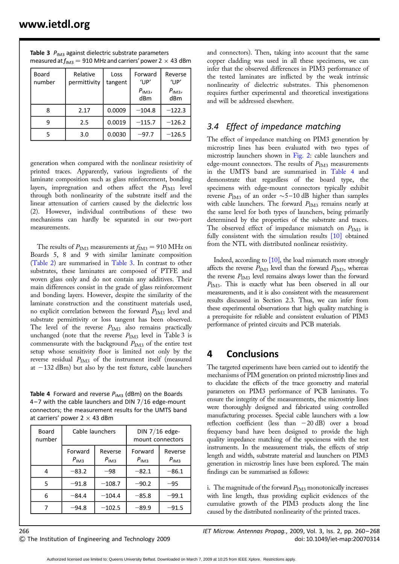| Board<br>number | Relative<br>permittivity | Loss<br>tangent | Forward<br>$^{\prime}$ UP'<br>$P_{IM3}$<br>dBm | Reverse<br>'UP'<br>$P_{IM3}$<br>dBm |
|-----------------|--------------------------|-----------------|------------------------------------------------|-------------------------------------|
| 8               | 2.17                     | 0.0009          | $-104.8$                                       | $-122.3$                            |
| 9               | 2.5                      | 0.0019          | $-115.7$                                       | $-126.2$                            |
| 5               | 3.0                      | 0.0030          | -97.7                                          | $-126.5$                            |

Table 3  $P_{IM3}$  against dielectric substrate parameters measured at  $f_{\text{IM3}} = 910$  MHz and carriers' power 2  $\times$  43 dBm

generation when compared with the nonlinear resistivity of printed traces. Apparently, various ingredients of the laminate composition such as glass reinforcement, bonding layers, impregnation and others affect the  $P_{\text{IM3}}$  level through both nonlinearity of the substrate itself and the linear attenuation of carriers caused by the dielectric loss (2). However, individual contributions of these two mechanisms can hardly be separated in our two-port measurements.

The results of  $P_{\text{IM3}}$  measurements at  $f_{\text{IM3}} = 910 \text{ MHz}$  on Boards 5, 8 and 9 with similar laminate composition (Table 2) are summarised in Table 3. In contrast to other substrates, these laminates are composed of PTFE and woven glass only and do not contain any additives. Their main differences consist in the grade of glass reinforcement and bonding layers. However, despite the similarity of the laminate construction and the constituent materials used, no explicit correlation between the forward  $P_{\text{IM3}}$  level and substrate permittivity or loss tangent has been observed. The level of the reverse  $P_{IM3}$  also remains practically unchanged (note that the reverse  $P_{\text{IM3}}$  level in Table 3 is commensurate with the background  $P_{IM3}$  of the entire test setup whose sensitivity floor is limited not only by the reverse residual  $P_{\text{IM3}}$  of the instrument itself (measured at  $-132$  dBm) but also by the test fixture, cable launchers

Table 4 Forward and reverse  $P_{IM3}$  (dBm) on the Boards 4–7 with the cable launchers and DIN  $7/16$  edge-mount connectors; the measurement results for the UMTS band at carriers' power 2  $\times$  43 dBm

| Board<br>number | Cable launchers      |                      | DIN 7/16 edge-<br>mount connectors |                      |
|-----------------|----------------------|----------------------|------------------------------------|----------------------|
|                 | Forward<br>$P_{IM3}$ | Reverse<br>$P_{IM3}$ | Forward<br>$P_{IM3}$               | Reverse<br>$P_{IM3}$ |
| 4               | $-83.2$              | -98                  | $-82.1$                            | $-86.1$              |
| 5               | $-91.8$              | $-108.7$             | $-90.2$                            | $-95$                |
| 6               | $-84.4$              | $-104.4$             | $-85.8$                            | $-99.1$              |
|                 | -94.8                | $-102.5$             | -89.9                              | -91.5                |

and connectors). Then, taking into account that the same copper cladding was used in all these specimens, we can infer that the observed differences in PIM3 performance of the tested laminates are inflicted by the weak intrinsic nonlinearity of dielectric substrates. This phenomenon requires further experimental and theoretical investigations and will be addressed elsewhere.

### 3.4 Effect of impedance matching

The effect of impedance matching on PIM3 generation by microstrip lines has been evaluated with two types of microstrip launchers shown in Fig. 2: cable launchers and edge-mount connectors. The results of  $P_{IM3}$  measurements in the UMTS band are summarised in Table 4 and demonstrate that regardless of the board type, the specimens with edge-mount connectors typically exhibit reverse  $P_{\rm IM3}$  of an order  ${\sim}5{-}10\:\rm dB$  higher than samples with cable launchers. The forward  $P_{IM3}$  remains nearly at the same level for both types of launchers, being primarily determined by the properties of the substrate and traces. The observed effect of impedance mismatch on  $P_{IM3}$  is fully consistent with the simulation results [10] obtained from the NTL with distributed nonlinear resistivity.

Indeed, according to [10], the load mismatch more strongly affects the reverse  $P_{\text{IM3}}$  level than the forward  $P_{\text{IM3}}$ , whereas the reverse  $P_{\text{IM3}}$  level remains always lower than the forward  $P<sub>IM3</sub>$ . This is exactly what has been observed in all our measurements, and it is also consistent with the measurement results discussed in Section 2.3. Thus, we can infer from these experimental observations that high quality matching is a prerequisite for reliable and consistent evaluation of PIM3 performance of printed circuits and PCB materials.

# 4 Conclusions

The targeted experiments have been carried out to identify the mechanisms of PIM generation on printed microstrip lines and to elucidate the effects of the trace geometry and material parameters on PIM3 performance of PCB laminates. To ensure the integrity of the measurements, the microstrip lines were thoroughly designed and fabricated using controlled manufacturing processes. Special cable launchers with a low reflection coefficient (less than  $-20$  dB) over a broad frequency band have been designed to provide the high quality impedance matching of the specimens with the test instruments. In the measurement trials, the effects of strip length and width, substrate material and launchers on PIM3 generation in microstrip lines have been explored. The main findings can be summarised as follows:

i. The magnitude of the forward  $P_{IM3}$  monotonically increases with line length, thus providing explicit evidences of the cumulative growth of the PIM3 products along the line caused by the distributed nonlinearity of the printed traces.

266 IET Microw. Antennas Propag., 2009, Vol. 3, Iss. 2, pp. 260– 268  $\degree$  The Institution of Engineering and Technology 2009 doi: 10.1049/iet-map:20070314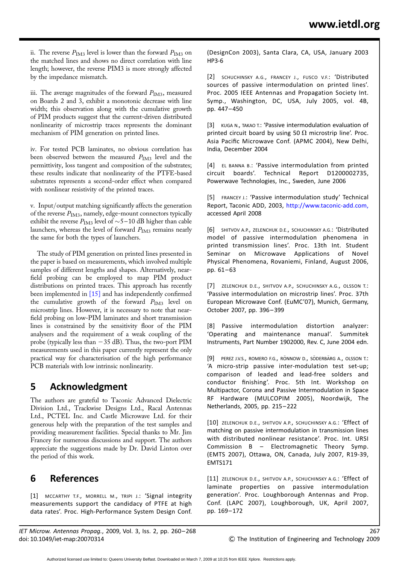ii. The reverse  $P_{IM3}$  level is lower than the forward  $P_{IM3}$  on the matched lines and shows no direct correlation with line length; however, the reverse PIM3 is more strongly affected by the impedance mismatch.

iii. The average magnitudes of the forward  $P_{IM3}$ , measured on Boards 2 and 3, exhibit a monotonic decrease with line width; this observation along with the cumulative growth of PIM products suggest that the current-driven distributed nonlinearity of microstrip traces represents the dominant mechanism of PIM generation on printed lines.

iv. For tested PCB laminates, no obvious correlation has been observed between the measured  $P_{\text{IM3}}$  level and the permittivity, loss tangent and composition of the substrates; these results indicate that nonlinearity of the PTFE-based substrates represents a second-order effect when compared with nonlinear resistivity of the printed traces.

v. Input/output matching significantly affects the generation of the reverse  $P_{IM3}$ , namely, edge-mount connectors typically exhibit the reverse  $P_{\text{IM3}}$  level of  $\sim$  5–10 dB higher than cable launchers, whereas the level of forward  $P_{IM3}$  remains nearly the same for both the types of launchers.

The study of PIM generation on printed lines presented in the paper is based on measurements, which involved multiple samples of different lengths and shapes. Alternatively, nearfield probing can be employed to map PIM product distributions on printed traces. This approach has recently been implemented in [15] and has independently confirmed the cumulative growth of the forward  $P_{IM3}$  level on microstrip lines. However, it is necessary to note that nearfield probing on low-PIM laminates and short transmission lines is constrained by the sensitivity floor of the PIM analysers and the requirement of a weak coupling of the probe (typically less than  $-35$  dB). Thus, the two-port PIM measurements used in this paper currently represent the only practical way for characterisation of the high performance PCB materials with low intrinsic nonlinearity.

# 5 Acknowledgment

The authors are grateful to Taconic Advanced Dielectric Division Ltd., Trackwise Designs Ltd., Racal Antennas Ltd., PCTEL Inc. and Castle Microwave Ltd. for their generous help with the preparation of the test samples and providing measurement facilities. Special thanks to Mr. Jim Francey for numerous discussions and support. The authors appreciate the suggestions made by Dr. David Linton over the period of this work.

# 6 References

[1] MCCARTHY T.F., MORRELL M., TRIPI J.: 'Signal integrity measurements support the candidacy of PTFE at high data rates'. Proc. High-Performance System Design Conf.

IET Microw. Antennas Propag., 2009, Vol. 3, Iss. 2, pp. 260– 268 267 doi: 10.1049/iet-map:20070314 & The Institution of Engineering and Technology 2009

(DesignCon 2003), Santa Clara, CA, USA, January 2003 HP3-6

[2] SCHUCHINSKY A.G., FRANCEY J., FUSCO V.F.: 'Distributed sources of passive intermodulation on printed lines'. Proc. 2005 IEEE Antennas and Propagation Society Int. Symp., Washington, DC, USA, July 2005, vol. 4B, pp. 447– 450

[3] KUGA N., TAKAO T.: 'Passive intermodulation evaluation of printed circuit board by using 50  $\Omega$  microstrip line'. Proc. Asia Pacific Microwave Conf. (APMC 2004), New Delhi, India, December 2004

[4] EL BANNA B.: 'Passive intermodulation from printed circuit boards'. Technical Report D1200002735, Powerwave Technologies, Inc., Sweden, June 2006

[5] FRANCEY J.: 'Passive intermodulation study' Technical Report, Taconic ADD, 2003, http://www.taconic-add.com, accessed April 2008

[6] SHITVOV A.P., ZELENCHUK D.E., SCHUCHINSKY A.G.: 'Distributed model of passive intermodulation phenomena in printed transmission lines'. Proc. 13th Int. Student Seminar on Microwave Applications of Novel Physical Phenomena, Rovaniemi, Finland, August 2006, pp. 61-63

[7] ZELENCHUK D.E., SHITVOV A.P., SCHUCHINSKY A.G., OLSSON T.: 'Passive intermodulation on microstrip lines'. Proc. 37th European Microwave Conf. (EuMC'07), Munich, Germany, October 2007, pp. 396– 399

[8] Passive intermodulation distortion analyzer: 'Operating and maintenance manual'. Summitek Instruments, Part Number 1902000, Rev. C, June 2004 edn.

[9] PEREZ J.V.S., ROMERO F.G., RÖNNOW D., SÖDERBÄRG A., OLSSON T.: 'A micro-strip passive inter-modulation test set-up; comparison of leaded and lead-free solders and conductor finishing'. Proc. 5th Int. Workshop on Multipactor, Corona and Passive Intermodulation in Space RF Hardware (MULCOPIM 2005), Noordwijk, The Netherlands, 2005, pp. 215– 222

[10] ZELENCHUK D.E., SHITVOV A.P., SCHUCHINSKY A.G.: 'Effect of matching on passive intermodulation in transmission lines with distributed nonlinear resistance'. Proc. Int. URSI Commission B – Electromagnetic Theory Symp. (EMTS 2007), Ottawa, ON, Canada, July 2007, R19-39, EMTS171

[11] ZELENCHUK D.E., SHITVOV A.P., SCHUCHINSKY A.G.: 'Effect of laminate properties on passive intermodulation generation'. Proc. Loughborough Antennas and Prop. Conf. (LAPC 2007), Loughborough, UK, April 2007, pp. 169– 172